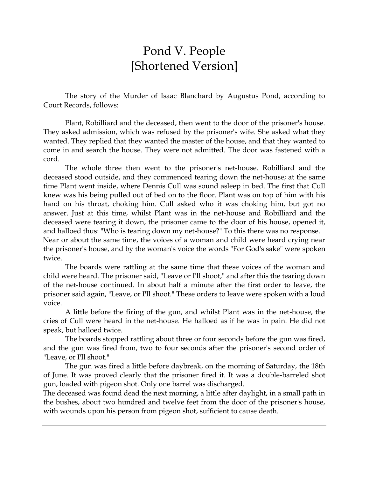## Pond V. People [Shortened Version]

The story of the Murder of Isaac Blanchard by Augustus Pond, according to Court Records, follows:

Plant, Robilliard and the deceased, then went to the door of the prisoner's house. They asked admission, which was refused by the prisoner's wife. She asked what they wanted. They replied that they wanted the master of the house, and that they wanted to come in and search the house. They were not admitted. The door was fastened with a cord.

The whole three then went to the prisoner's net-house. Robilliard and the deceased stood outside, and they commenced tearing down the net-house; at the same time Plant went inside, where Dennis Cull was sound asleep in bed. The first that Cull knew was his being pulled out of bed on to the floor. Plant was on top of him with his hand on his throat, choking him. Cull asked who it was choking him, but got no answer. Just at this time, whilst Plant was in the net-house and Robilliard and the deceased were tearing it down, the prisoner came to the door of his house, opened it, and halloed thus: "Who is tearing down my net-house?" To this there was no response.

Near or about the same time, the voices of a woman and child were heard crying near the prisoner's house, and by the woman's voice the words "For God's sake" were spoken twice.

The boards were rattling at the same time that these voices of the woman and child were heard. The prisoner said, "Leave or I'll shoot," and after this the tearing down of the net-house continued. In about half a minute after the first order to leave, the prisoner said again, "Leave, or I'll shoot." These orders to leave were spoken with a loud voice.

A little before the firing of the gun, and whilst Plant was in the net-house, the cries of Cull were heard in the net-house. He halloed as if he was in pain. He did not speak, but halloed twice.

The boards stopped rattling about three or four seconds before the gun was fired, and the gun was fired from, two to four seconds after the prisoner's second order of "Leave, or I'll shoot."

The gun was fired a little before daybreak, on the morning of Saturday, the 18th of June. It was proved clearly that the prisoner fired it. It was a double-barreled shot gun, loaded with pigeon shot. Only one barrel was discharged.

The deceased was found dead the next morning, a little after daylight, in a small path in the bushes, about two hundred and twelve feet from the door of the prisoner's house, with wounds upon his person from pigeon shot, sufficient to cause death.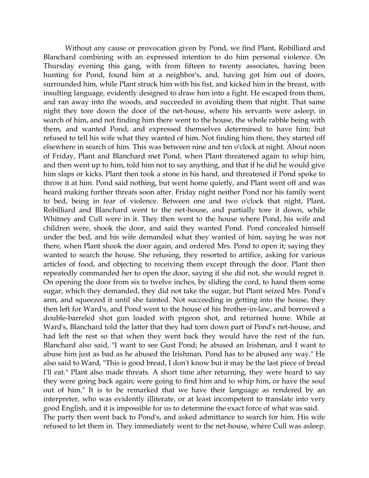Without any cause or provocation given by Pond, we find Plant, Robilliard and Blanchard combining with an expressed intention to do him personal violence. On Thursday evening this gang, with from fifteen to twenty associates, having been hunting for Pond, found him at a neighbor's, and, having got him out of doors, surrounded him, while Plant struck him with his fist, and kicked him in the breast, with insulting language, evidently designed to draw him into a fight. He escaped from them, and ran away into the woods, and succeeded in avoiding them that night. That same night they tore down the door of the net-house, where his servants were asleep, in search of him, and not finding him there went to the house, the whole rabble being with them, and wanted Pond, and expressed themselves determined to have him; but refused to tell his wife what they wanted of him. Not finding him there, they started off elsewhere in search of him. This was between nine and ten o'clock at night. About noon of Friday, Plant and Blanchard met Pond, when Plant threatened again to whip him, and then went up to him, told him not to say anything, and that if he did he would give him slaps or kicks. Plant then took a stone in his hand, and threatened if Pond spoke to throw it at him. Pond said nothing, but went home quietly, and Plant went off and was heard making further threats soon after. Friday night neither Pond nor his family went to bed, being in fear of violence. Between one and two o'clock that night, Plant, Robilliard and Blanchard went to the net-house, and partially tore it down, while Whitney and Cull were in it. They then went to the house where Pond, his wife and children were, shook the door, and said they wanted Pond. Pond concealed himself under the bed, and his wife demanded what they wanted of him, saying he was not there, when Plant shook the door again, and ordered Mrs. Pond to open it; saying they wanted to search the house. She refusing, they resorted to artifice, asking for various articles of food, and objecting to receiving them except through the door. Plant then repeatedly commanded her to open the door, saying if she did not, she would regret it. On opening the door from six to twelve inches, by sliding the cord, to hand them some sugar, which they demanded, they did not take the sugar, but Plant seized Mrs. Pond's arm, and squeezed it until she fainted. Not succeeding in getting into the house, they then left for Ward's, and Pond went to the house of his brother-in-law, and borrowed a double-barreled shot gun loaded with pigeon shot, and returned home. While at Ward's, Blanchard told the latter that they had torn down part of Pond's net-house, and had left the rest so that when they went back they would have the rest of the fun. Blanchard also said, "I want to see Gust Pond; he abused an Irishman, and I want to abuse him just as bad as he abused the Irishman. Pond has to be abused any way." He also said to Ward, "This is good bread, I don't know but it may be the last piece of bread I'll eat." Plant also made threats. A short time after returning, they were heard to say they were going back again; were going to find him and to whip him, or have the soul out of him." It is to be remarked that we have their language as rendered by an interpreter, who was evidently illiterate, or at least incompetent to translate into very good English, and it is impossible for us to determine the exact force of what was said. The party then went back to Pond's, and asked admittance to search for him. His wife refused to let them in. They immediately went to the net-house, where Cull was asleep.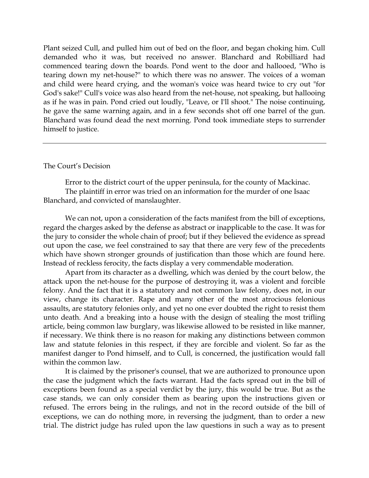Plant seized Cull, and pulled him out of bed on the floor, and began choking him. Cull demanded who it was, but received no answer. Blanchard and Robilliard had commenced tearing down the boards. Pond went to the door and hallooed, "Who is tearing down my net-house?" to which there was no answer. The voices of a woman and child were heard crying, and the woman's voice was heard twice to cry out "for God's sake!" Cull's voice was also heard from the net-house, not speaking, but hallooing as if he was in pain. Pond cried out loudly, "Leave, or I'll shoot." The noise continuing, he gave the same warning again, and in a few seconds shot off one barrel of the gun. Blanchard was found dead the next morning. Pond took immediate steps to surrender himself to justice.

## The Court's Decision

Error to the district court of the upper peninsula, for the county of Mackinac. The plaintiff in error was tried on an information for the murder of one Isaac Blanchard, and convicted of manslaughter.

We can not, upon a consideration of the facts manifest from the bill of exceptions, regard the charges asked by the defense as abstract or inapplicable to the case. It was for the jury to consider the whole chain of proof; but if they believed the evidence as spread out upon the case, we feel constrained to say that there are very few of the precedents which have shown stronger grounds of justification than those which are found here. Instead of reckless ferocity, the facts display a very commendable moderation.

Apart from its character as a dwelling, which was denied by the court below, the attack upon the net-house for the purpose of destroying it, was a violent and forcible felony. And the fact that it is a statutory and not common law felony, does not, in our view, change its character. Rape and many other of the most atrocious felonious assaults, are statutory felonies only, and yet no one ever doubted the right to resist them unto death. And a breaking into a house with the design of stealing the most trifling article, being common law burglary, was likewise allowed to be resisted in like manner, if necessary. We think there is no reason for making any distinctions between common law and statute felonies in this respect, if they are forcible and violent. So far as the manifest danger to Pond himself, and to Cull, is concerned, the justification would fall within the common law.

It is claimed by the prisoner's counsel, that we are authorized to pronounce upon the case the judgment which the facts warrant. Had the facts spread out in the bill of exceptions been found as a special verdict by the jury, this would be true. But as the case stands, we can only consider them as bearing upon the instructions given or refused. The errors being in the rulings, and not in the record outside of the bill of exceptions, we can do nothing more, in reversing the judgment, than to order a new trial. The district judge has ruled upon the law questions in such a way as to present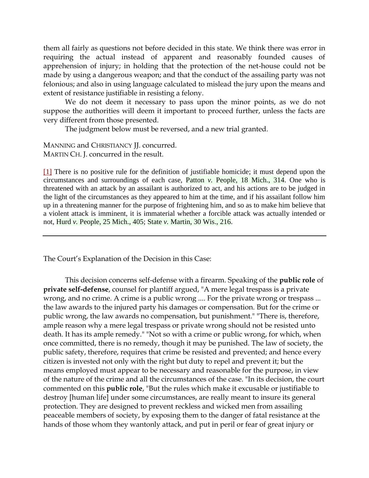them all fairly as questions not before decided in this state. We think there was error in requiring the actual instead of apparent and reasonably founded causes of apprehension of injury; in holding that the protection of the net-house could not be made by using a dangerous weapon; and that the conduct of the assailing party was not felonious; and also in using language calculated to mislead the jury upon the means and extent of resistance justifiable in resisting a felony.

We do not deem it necessary to pass upon the minor points, as we do not suppose the authorities will deem it important to proceed further, unless the facts are very different from those presented.

The judgment below must be reversed, and a new trial granted.

MANNING and CHRISTIANCY JJ. concurred. MARTIN CH. J. concurred in the result.

[\[1\]](http://www.2ndlawlib.org/court/state/#fnb1) There is no positive rule for the definition of justifiable homicide; it must depend upon the circumstances and surroundings of each case, Patton *v.* People, 18 Mich., 314. One who is threatened with an attack by an assailant is authorized to act, and his actions are to be judged in the light of the circumstances as they appeared to him at the time, and if his assailant follow him up in a threatening manner for the purpose of frightening him, and so as to make him believe that a violent attack is imminent, it is immaterial whether a forcible attack was actually intended or not, Hurd *v.* People, 25 Mich., 405; State *v.* Martin, 30 Wis., 216.

The Court's Explanation of the Decision in this Case:

This decision concerns self-defense with a firearm. Speaking of the **public role** of **private self-defense**, counsel for plantiff argued, "A mere legal trespass is a private wrong, and no crime. A crime is a public wrong .... For the private wrong or trespass ... the law awards to the injured party his damages or compensation. But for the crime or public wrong, the law awards no compensation, but punishment." "There is, therefore, ample reason why a mere legal trespass or private wrong should not be resisted unto death. It has its ample remedy." "Not so with a crime or public wrong, for which, when once committed, there is no remedy, though it may be punished. The law of society, the public safety, therefore, requires that crime be resisted and prevented; and hence every citizen is invested not only with the right but duty to repel and prevent it; but the means employed must appear to be necessary and reasonable for the purpose, in view of the nature of the crime and all the circumstances of the case. "In its decision, the court commented on this **public role**, "But the rules which make it excusable or justifiable to destroy [human life] under some circumstances, are really meant to insure its general protection. They are designed to prevent reckless and wicked men from assailing peaceable members of society, by exposing them to the danger of fatal resistance at the hands of those whom they wantonly attack, and put in peril or fear of great injury or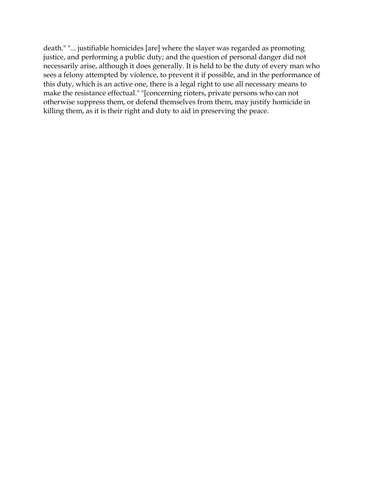death." "... justifiable homicides [are] where the slayer was regarded as promoting justice, and performing a public duty; and the question of personal danger did not necessarily arise, although it does generally. It is held to be the duty of every man who sees a felony attempted by violence, to prevent it if possible, and in the performance of this duty, which is an active one, there is a legal right to use all necessary means to make the resistance effectual." "[concerning rioters, private persons who can not otherwise suppress them, or defend themselves from them, may justify homicide in killing them, as it is their right and duty to aid in preserving the peace.